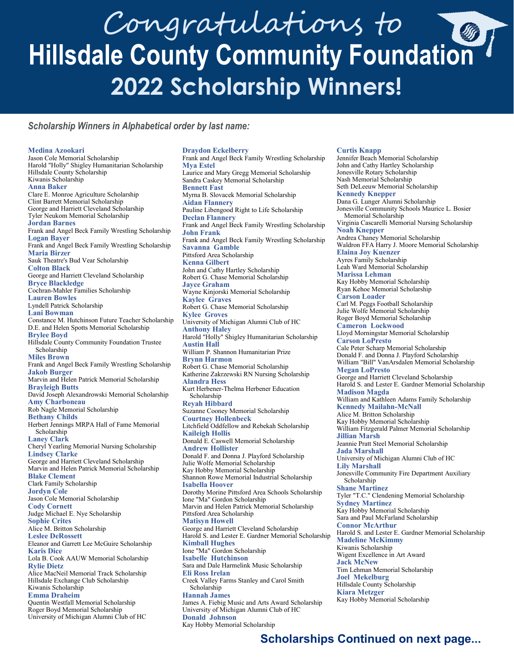# Congratulations to<br>Hillsdale County Community Foundation **2022 Scholarship Winners!**

**Draydon Eckelberry** 

#### *Scholarship Winners in Alphabetical order by last name:*

**Medina Azookari**

Jason Cole Memorial Scholarship Harold "Holly" Shigley Humanitarian Scholarship Hillsdale County Scholarship Kiwanis Scholarship **Anna Baker** Clare E. Monroe Agriculture Scholarship Clint Barrett Memorial Scholarship George and Harriett Cleveland Scholarship Tyler Neukom Memorial Scholarship **Jordan Barnes** Frank and Angel Beck Family Wrestling Scholarship **Logan Bayer**  Frank and Angel Beck Family Wrestling Scholarship **Maria Birzer**  Sauk Theatre's Bud Vear Scholarship **Colton Black**  George and Harriett Cleveland Scholarship **Bryce Blackledge**  Cochran-Mahler Families Scholarship **Lauren Bowles**  Lyndell Patrick Scholarship **Lani Bowman**  Constance M. Hutchinson Future Teacher Scholarship D.E. and Helen Spotts Memorial Scholarship **Brylee Boyd**  Hillsdale County Community Foundation Trustee Scholarship **Miles Brown**  Frank and Angel Beck Family Wrestling Scholarship **Jakob Burger**  Marvin and Helen Patrick Memorial Scholarship **Brayleigh Butts**  David Joseph Alexandrowski Memorial Scholarship **Amy Charboneau**  Rob Nagle Memorial Scholarship **Bethany Childs**  Herbert Jennings MRPA Hall of Fame Memorial Scholarship **Laney Clark**  Cheryl Yearling Memorial Nursing Scholarship **Lindsey Clarke**  George and Harriett Cleveland Scholarship Marvin and Helen Patrick Memorial Scholarship **Blake Clement**  Clark Family Scholarship **Jordyn Cole** Jason Cole Memorial Scholarship **Cody Cornett**  Judge Michael E. Nye Scholarship **Sophie Crites**  Alice M. Britton Scholarship **Leslee DeRossett**  Eleanor and Garrett Lee McGuire Scholarship **Karis Dice**  Lola B. Cook AAUW Memorial Scholarship **Rylie Dietz**  Alice MacNeil Memorial Track Scholarship Hillsdale Exchange Club Scholarship Kiwanis Scholarship **Emma Draheim**  Quentin Westfall Memorial Scholarship Roger Boyd Memorial Scholarship University of Michigan Alumni Club of HC

Frank and Angel Beck Family Wrestling Scholarship **Mya Estel**  Laurice and Mary Gregg Memorial Scholarship Sandra Caskey Memorial Scholarship **Bennett Fast**  Myrna B. Slovacek Memorial Scholarship **Aidan Flannery**  Pauline Libengood Right to Life Scholarship **Declan Flannery**  Frank and Angel Beck Family Wrestling Scholarship **John Frank**  Frank and Angel Beck Family Wrestling Scholarship **Savanna Gamble**  Pittsford Area Scholarship **Kenna Gilbert**  John and Cathy Hartley Scholarship Robert G. Chase Memorial Scholarship **Jayce Graham**  Wayne Kinjorski Memorial Scholarship **Kaylee Graves**  Robert G. Chase Memorial Scholarship **Kylee Groves**  University of Michigan Alumni Club of HC **Anthony Haley**  Harold "Holly" Shigley Humanitarian Scholarship **Austin Hall**  William P. Shannon Humanitarian Prize **Brynn Harmon**  Robert G. Chase Memorial Scholarship Katherine Zakrzewski RN Nursing Scholarship **Alandra Hess**  Kurt Herbener-Thelma Herbener Education Scholarship **Reyah Hibbard**  Suzanne Cooney Memorial Scholarship **Courtney Hollenbeck**  Litchfield Oddfellow and Rebekah Scholarship **Kaileigh Hollis**  Donald E. Caswell Memorial Scholarship **Andrew Hollister**  Donald F. and Donna J. Playford Scholarship Julie Wolfe Memorial Scholarship Kay Hobby Memorial Scholarship Shannon Rowe Memorial Industrial Scholarship **Isabella Hoover**  Dorothy Morine Pittsford Area Schools Scholarship Ione "Ma" Gordon Scholarship Marvin and Helen Patrick Memorial Scholarship Pittsford Area Scholarship **Matisyn Howell** George and Harriett Cleveland Scholarship Harold S. and Lester E. Gardner Memorial Scholarship **Kimball Hughes** Ione "Ma" Gordon Scholarship **Isabelle Hutchinson**  Sara and Dale Harmelink Music Scholarship **Eli Ross Irelan**  Creek Valley Farms Stanley and Carol Smith Scholarship **Hannah James** James A. Fiebig Music and Arts Award Scholarship University of Michigan Alumni Club of HC **Donald Johnson**  Kay Hobby Memorial Scholarship

#### **Curtis Knapp**

Jennifer Beach Memorial Scholarship John and Cathy Hartley Scholarship Jonesville Rotary Scholarship Nash Memorial Scholarship Seth DeLeeuw Memorial Scholarship **Kennedy Knepper**  Dana G. Lunger Alumni Scholarship Jonesville Community Schools Maurice L. Bosier Memorial Scholarship Virginia Cascarelli Memorial Nursing Scholarship **Noah Knepper**  Andrea Chaney Memorial Scholarship Waldron FFA Harry J. Moore Memorial Scholarship **Elaina Joy Kuenzer**  Ayres Family Scholarship Leah Ward Memorial Scholarship **Marissa Lehman**  Kay Hobby Memorial Scholarship Ryan Kehoe Memorial Scholarship **Carson Loader**  Carl M. Peggs Football Scholarship Julie Wolfe Memorial Scholarship Roger Boyd Memorial Scholarship **Cameron Lockwood**  Lloyd Morningstar Memorial Scholarship **Carson LoPresto**  Cale Peter Scharp Memorial Scholarship Donald F. and Donna J. Playford Scholarship William "Bill" VanArsdalen Memorial Scholarship **Megan LoPresto**  George and Harriett Cleveland Scholarship Harold S. and Lester E. Gardner Memorial Scholarship **Madison Magda**  William and Kathleen Adams Family Scholarship **Kennedy Mailahn-McNall**  Alice M. Britton Scholarship Kay Hobby Memorial Scholarship William Fitzgerald Palmer Memorial Scholarship **Jillian Marsh**  Jeannie Pratt Steel Memorial Scholarship **Jada Marshall** University of Michigan Alumni Club of HC **Lily Marshall**  Jonesville Community Fire Department Auxiliary Scholarship **Shane Martinez**  Tyler "T.C." Clendening Memorial Scholarship **Sydney Martinez**  Kay Hobby Memorial Scholarship Sara and Paul McFarland Scholarship **Connor McArthur**  Harold S. and Lester E. Gardner Memorial Scholarship **Madeline McKimmy**  Kiwanis Scholarship Wigent Excellence in Art Award **Jack McNew**  Tim Lehman Memorial Scholarship **Joel Mekelburg**  Hillsdale County Scholarship **Kiara Metzger**  Kay Hobby Memorial Scholarship

### **Scholarships Continued on next page...**